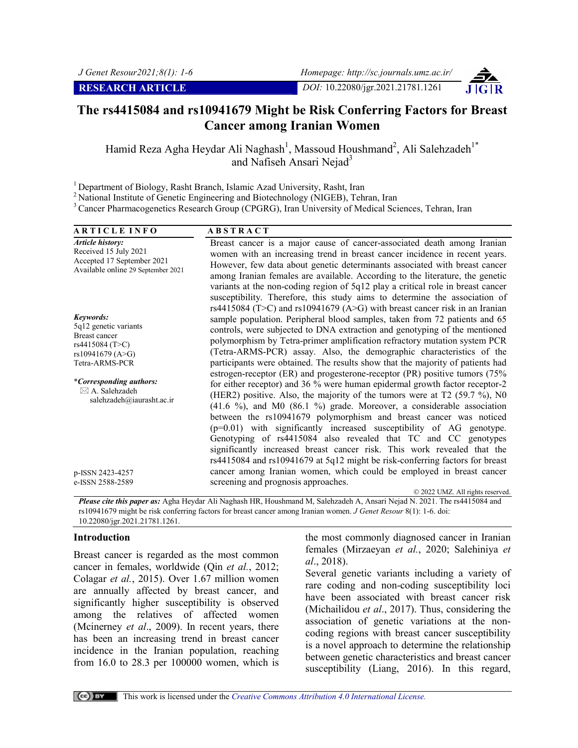# **The rs4415084 and rs10941679 Might be Risk Conferring Factors for Breast Cancer among Iranian Women**

Hamid Reza Agha Heydar Ali Naghash<sup>1</sup>, Massoud Houshmand<sup>2</sup>, Ali Salehzadeh<sup>1\*</sup> and Nafiseh Ansari Nejad<sup>3</sup>

<sup>1</sup> Department of Biology, Rasht Branch, Islamic Azad University, Rasht, Iran

<sup>2</sup> National Institute of Genetic Engineering and Biotechnology (NIGEB), Tehran, Iran

3 Cancer Pharmacogenetics Research Group (CPGRG), Iran University of Medical Sciences, Tehran, Iran

| <b>ARTICLE INFO</b>                                                                                                                                                                                             | <b>ABSTRACT</b>                                                                                                                                                                                                                                                                                                                                                                                                                                                                                                                                                                                                                                                                                                                                                                                                                                                                                                                                                                                                                        |
|-----------------------------------------------------------------------------------------------------------------------------------------------------------------------------------------------------------------|----------------------------------------------------------------------------------------------------------------------------------------------------------------------------------------------------------------------------------------------------------------------------------------------------------------------------------------------------------------------------------------------------------------------------------------------------------------------------------------------------------------------------------------------------------------------------------------------------------------------------------------------------------------------------------------------------------------------------------------------------------------------------------------------------------------------------------------------------------------------------------------------------------------------------------------------------------------------------------------------------------------------------------------|
| Article history:<br>Received 15 July 2021<br>Accepted 17 September 2021<br>Available online 29 September 2021                                                                                                   | Breast cancer is a major cause of cancer-associated death among Iranian<br>women with an increasing trend in breast cancer incidence in recent years.<br>However, few data about genetic determinants associated with breast cancer<br>among Iranian females are available. According to the literature, the genetic<br>variants at the non-coding region of 5q12 play a critical role in breast cancer                                                                                                                                                                                                                                                                                                                                                                                                                                                                                                                                                                                                                                |
| Keywords:<br>5q12 genetic variants<br><b>Breast cancer</b><br>rs4415084 (T>C)<br>rs10941679 (A>G)<br>Tetra-ARMS-PCR<br><i>*Corresponding authors:</i><br>$\boxtimes$ A. Salehzadeh<br>salehzadeh@iaurasht.ac.ir | susceptibility. Therefore, this study aims to determine the association of<br>rs4415084 (T>C) and rs10941679 (A>G) with breast cancer risk in an Iranian<br>sample population. Peripheral blood samples, taken from 72 patients and 65<br>controls, were subjected to DNA extraction and genotyping of the mentioned<br>polymorphism by Tetra-primer amplification refractory mutation system PCR<br>(Tetra-ARMS-PCR) assay. Also, the demographic characteristics of the<br>participants were obtained. The results show that the majority of patients had<br>estrogen-receptor (ER) and progesterone-receptor (PR) positive tumors (75%<br>for either receptor) and 36 % were human epidermal growth factor receptor-2<br>(HER2) positive. Also, the majority of the tumors were at $T2$ (59.7 %), N0<br>$(41.6 \%)$ , and M0 $(86.1 \%)$ grade. Moreover, a considerable association<br>between the rs10941679 polymorphism and breast cancer was noticed<br>$(p=0.01)$ with significantly increased susceptibility of AG genotype. |
| p-ISSN 2423-4257<br>e-ISSN 2588-2589                                                                                                                                                                            | Genotyping of rs4415084 also revealed that TC and CC genotypes<br>significantly increased breast cancer risk. This work revealed that the<br>rs4415084 and rs10941679 at 5q12 might be risk-conferring factors for breast<br>cancer among Iranian women, which could be employed in breast cancer<br>screening and prognosis approaches.                                                                                                                                                                                                                                                                                                                                                                                                                                                                                                                                                                                                                                                                                               |
|                                                                                                                                                                                                                 | © 2022 UMZ. All rights reserved.                                                                                                                                                                                                                                                                                                                                                                                                                                                                                                                                                                                                                                                                                                                                                                                                                                                                                                                                                                                                       |

*Please cite this paper as:* Agha Heydar Ali Naghash HR, Houshmand M, Salehzadeh A, Ansari Nejad N. 2021. The rs4415084 and rs10941679 might be risk conferring factors for breast cancer among Iranian women. *J Genet Resour* 8(1): 1-6. doi: 10.22080/jgr.2021.21781.1261.

#### **Introduction**

Breast cancer is regarded as the most common cancer in females, worldwide (Qin *et al.*, 2012; Colagar *et al.*, 2015). Over 1.67 million women are annually affected by breast cancer, and significantly higher susceptibility is observed among the relatives of affected women (Mcinerney *et al*., 2009). In recent years, there has been an increasing trend in breast cancer incidence in the Iranian population, reaching from 16.0 to 28.3 per 100000 women, which is

the most commonly diagnosed cancer in Iranian females (Mirzaeyan *et al.*, 2020; Salehiniya *et al*., 2018).

Several genetic variants including a variety of rare coding and non-coding susceptibility loci have been associated with breast cancer risk (Michailidou *et al*., 2017). Thus, considering the association of genetic variations at the noncoding regions with breast cancer susceptibility is a novel approach to determine the relationship between genetic characteristics and breast cancer susceptibility (Liang, 2016). In this regard,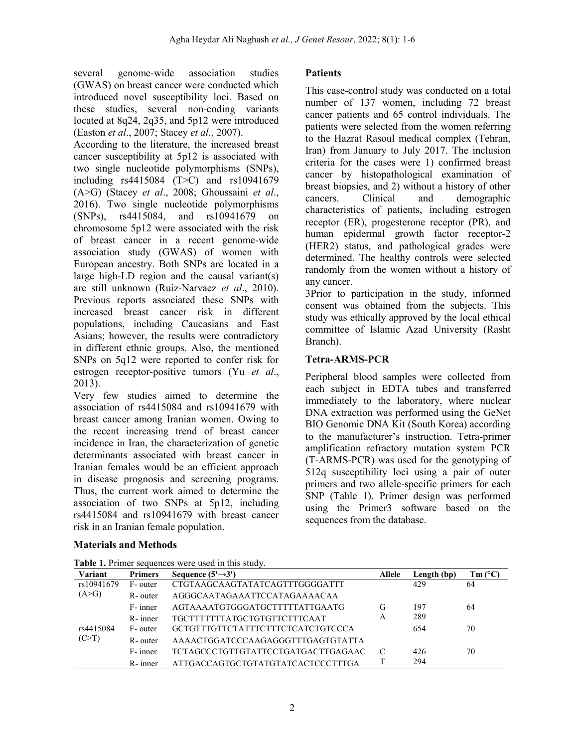several genome-wide association studies (GWAS) on breast cancer were conducted which introduced novel susceptibility loci. Based on these studies, several non-coding variants located at 8q24, 2q35, and 5p12 were introduced (Easton *et al*., 2007; Stacey *et al*., 2007).

According to the literature, the increased breast cancer susceptibility at 5p12 is associated with two single nucleotide polymorphisms (SNPs), including rs4415084 (T>C) and rs10941679 (A>G) (Stacey *et al*., 2008; Ghoussaini *et al*., 2016). Two single nucleotide polymorphisms (SNPs), rs4415084, and rs10941679 on chromosome 5p12 were associated with the risk of breast cancer in a recent genome-wide association study (GWAS) of women with European ancestry. Both SNPs are located in a large high-LD region and the causal variant(s) are still unknown (Ruiz-Narvaez *et al*., 2010). Previous reports associated these SNPs with increased breast cancer risk in different populations, including Caucasians and East Asians; however, the results were contradictory in different ethnic groups. Also, the mentioned SNPs on 5q12 were reported to confer risk for estrogen receptor-positive tumors (Yu *et al*., 2013).

Very few studies aimed to determine the association of rs4415084 and rs10941679 with breast cancer among Iranian women. Owing to the recent increasing trend of breast cancer incidence in Iran, the characterization of genetic determinants associated with breast cancer in Iranian females would be an efficient approach in disease prognosis and screening programs. Thus, the current work aimed to determine the association of two SNPs at 5p12, including rs4415084 and rs10941679 with breast cancer risk in an Iranian female population.

## **Materials and Methods**

#### **Patients**

This case-control study was conducted on a total number of 137 women, including 72 breast cancer patients and 65 control individuals. The patients were selected from the women referring to the Hazrat Rasoul medical complex (Tehran, Iran) from January to July 2017. The inclusion criteria for the cases were 1) confirmed breast cancer by histopathological examination of breast biopsies, and 2) without a history of other cancers. Clinical and demographic characteristics of patients, including estrogen receptor (ER), progesterone receptor (PR), and human epidermal growth factor receptor-2 (HER2) status, and pathological grades were determined. The healthy controls were selected randomly from the women without a history of any cancer.

3Prior to participation in the study, informed consent was obtained from the subjects. This study was ethically approved by the local ethical committee of Islamic Azad University (Rasht Branch).

## **Tetra-ARMS-PCR**

Peripheral blood samples were collected from each subject in EDTA tubes and transferred immediately to the laboratory, where nuclear DNA extraction was performed using the GeNet BIO Genomic DNA Kit (South Korea) according to the manufacturer's instruction. Tetra-primer amplification refractory mutation system PCR (T-ARMS-PCR) was used for the genotyping of 512q susceptibility loci using a pair of outer primers and two allele-specific primers for each SNP (Table 1). Primer design was performed using the Primer3 software based on the sequences from the database.

| Variant    | <b>Primers</b> | Sequence $(5' \rightarrow 3')$     | Allele | Length (bp) | $Tm (^{\circ}C)$ |
|------------|----------------|------------------------------------|--------|-------------|------------------|
| rs10941679 | F- outer       | CTGTAAGCAAGTATATCAGTTTGGGGATTT     |        | 429         | 64               |
| (A>G)      | R-outer        | AGGGCAATAGAAATTCCATAGAAAACAA       |        |             |                  |
|            | F- inner       | AGTAAAATGTGGGATGCTTTTTATTGAATG     | G      | 197         | 64               |
|            | $R$ - inner    | TGCTTTTTTTATGCTGTGTTCTTTCAAT       | A      | 289         |                  |
| rs4415084  | F- outer       | GCTGTTTGTTCTATTTCTTTCTCATCTGTCCCA  |        | 654         | 70               |
| (C>T)      | R-outer        | AAAACTGGATCCCAAGAGGGTTTGAGTGTATTA  |        |             |                  |
|            | F- inner       | TCTAGCCCTGTTGTATTCCTGATGACTTGAGAAC |        | 426         | 70               |
|            | R-inner        | ATTGACCAGTGCTGTATGTATCACTCCCTTTGA  |        | 294         |                  |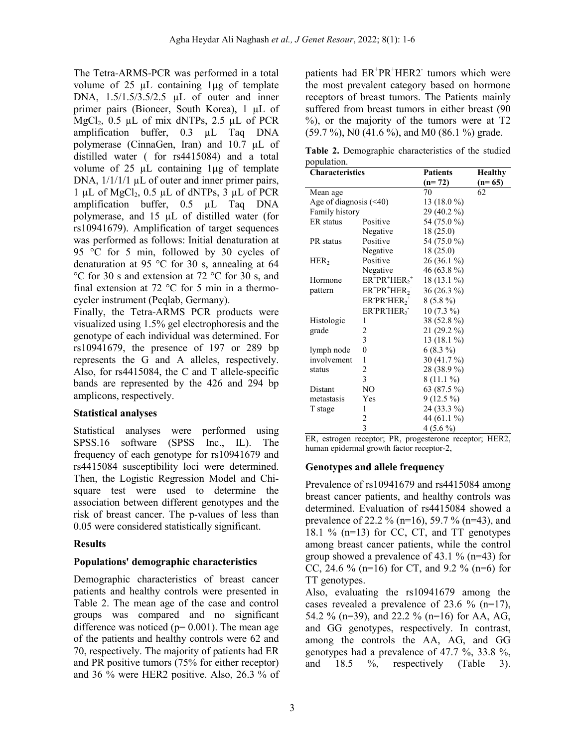The Tetra-ARMS-PCR was performed in a total volume of  $25 \mu L$  containing  $1\mu g$  of template DNA, 1.5/1.5/3.5/2.5 µL of outer and inner primer pairs (Bioneer, South Korea), 1 µL of MgCl<sub>2</sub>,  $0.5$   $\mu$ L of mix dNTPs,  $2.5$   $\mu$ L of PCR amplification buffer, 0.3 µL Taq DNA polymerase (CinnaGen, Iran) and 10.7 µL of distilled water ( for rs4415084) and a total volume of  $25 \mu L$  containing 1 $\mu$ g of template DNA,  $1/1/1/1 \mu L$  of outer and inner primer pairs, 1 µL of MgCl<sub>2</sub>, 0.5 µL of dNTPs, 3 µL of PCR amplification buffer, 0.5 µL Taq DNA polymerase, and 15 µL of distilled water (for rs10941679). Amplification of target sequences was performed as follows: Initial denaturation at 95 °C for 5 min, followed by 30 cycles of denaturation at 95 °C for 30 s, annealing at 64 °C for 30 s and extension at 72 °C for 30 s, and final extension at 72 °C for 5 min in a thermocycler instrument (Peqlab, Germany).

Finally, the Tetra-ARMS PCR products were visualized using 1.5% gel electrophoresis and the genotype of each individual was determined. For rs10941679, the presence of 197 or 289 bp represents the G and A alleles, respectively. Also, for rs4415084, the C and T allele-specific bands are represented by the 426 and 294 bp amplicons, respectively.

## **Statistical analyses**

Statistical analyses were performed using SPSS.16 software (SPSS Inc., IL). The frequency of each genotype for rs10941679 and rs4415084 susceptibility loci were determined. Then, the Logistic Regression Model and Chisquare test were used to determine the association between different genotypes and the risk of breast cancer. The p-values of less than 0.05 were considered statistically significant.

## **Results**

## **Populations' demographic characteristics**

Demographic characteristics of breast cancer patients and healthy controls were presented in Table 2. The mean age of the case and control groups was compared and no significant difference was noticed ( $p= 0.001$ ). The mean age of the patients and healthy controls were 62 and 70, respectively. The majority of patients had ER and PR positive tumors (75% for either receptor) and 36 % were HER2 positive. Also, 26.3 % of

patients had ER<sup>+</sup>PR<sup>+</sup>HER2<sup>-</sup> tumors which were the most prevalent category based on hormone receptors of breast tumors. The Patients mainly suffered from breast tumors in either breast (90 %), or the majority of the tumors were at T2  $(59.7 \%)$ , N0 (41.6 %), and M0 (86.1 %) grade.

**Table 2.** Demographic characteristics of the studied population.

| <b>Characteristics</b>       |                            | <b>Patients</b> | <b>Healthy</b> |
|------------------------------|----------------------------|-----------------|----------------|
|                              |                            | $(n=72)$        | $(n=65)$       |
| Mean age                     |                            | 70              | 62             |
| Age of diagnosis $(\leq 40)$ |                            | 13 $(18.0\%)$   |                |
| Family history               |                            | 29 (40.2 %)     |                |
| ER status                    | Positive                   | 54 (75.0 %)     |                |
|                              | Negative                   | 18(25.0)        |                |
| PR status                    | Positive                   | 54 (75.0 %)     |                |
|                              | Negative                   | 18(25.0)        |                |
| HER <sub>2</sub>             | Positive                   | 26 (36.1 %)     |                |
|                              | Negative                   | 46 (63.8 %)     |                |
| Hormone                      | $ER^+PR^+HER_2^+$          | $18(13.1\%)$    |                |
| pattern                      | $ER^+PR^+HER_2^-$          | 36 (26.3 %)     |                |
|                              | $ER$ PR $HER$ <sup>+</sup> | $8(5.8\%)$      |                |
|                              | ER PR HER <sub>2</sub>     | $10(7.3\%)$     |                |
| Histologic                   | 1                          | 38 (52.8 %)     |                |
| grade                        | $\overline{\mathbf{c}}$    | 21 (29.2 %)     |                |
|                              | $\overline{\mathbf{3}}$    | 13 $(18.1\%)$   |                |
| lymph node                   | $\overline{0}$             | $6(8.3\%)$      |                |
| involvement                  | 1                          | 30 (41.7 %)     |                |
| status                       | $\overline{\mathbf{c}}$    | 28 (38.9 %)     |                |
|                              | $\overline{3}$             | $8(11.1\%)$     |                |
| Distant                      | NO                         | 63 (87.5 %)     |                |
| metastasis                   | Yes                        | $9(12.5\%)$     |                |
| T stage                      | 1                          | 24 (33.3 %)     |                |
|                              | 2                          | 44 (61.1 %)     |                |
|                              | 3                          | $4(5.6\%)$      |                |

ER, estrogen receptor; PR, progesterone receptor; HER2, human epidermal growth factor receptor-2,

## **Genotypes and allele frequency**

Prevalence of rs10941679 and rs4415084 among breast cancer patients, and healthy controls was determined. Evaluation of rs4415084 showed a prevalence of 22.2 % (n=16), 59.7 % (n=43), and 18.1 % (n=13) for CC, CT, and TT genotypes among breast cancer patients, while the control group showed a prevalence of 43.1 % (n=43) for CC, 24.6 % (n=16) for CT, and 9.2 % (n=6) for TT genotypes.

Also, evaluating the rs10941679 among the cases revealed a prevalence of 23.6 % (n=17), 54.2 % (n=39), and 22.2 % (n=16) for AA, AG, and GG genotypes, respectively. In contrast, among the controls the AA, AG, and GG genotypes had a prevalence of 47.7 %, 33.8 %, and 18.5 %, respectively (Table 3).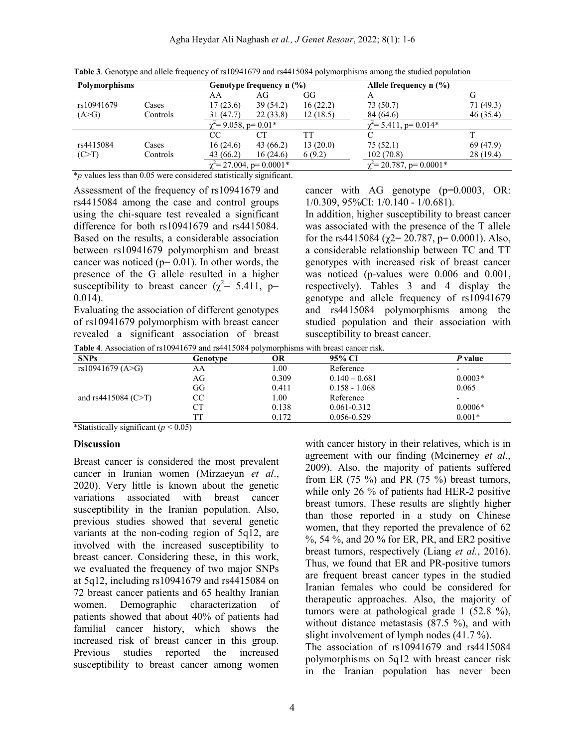| Polymorphisms |          |                               | Genotype frequency n (%) |                                      | Allele frequency $n$ $\left(\frac{9}{6}\right)$ |           |
|---------------|----------|-------------------------------|--------------------------|--------------------------------------|-------------------------------------------------|-----------|
|               |          | AA                            | AG                       | GG                                   | А                                               |           |
| rs10941679    | Cases    | 17(23.6)                      | 39(54.2)                 | 16(22.2)                             | 73(50.7)                                        | 71(49.3)  |
| (A>G)         | Controls | 31 (47.7)                     | 22(33.8)                 | 12(18.5)                             | 84 (64.6)                                       | 46(35.4)  |
|               |          | $\gamma^2$ = 9.058, p = 0.01* |                          |                                      | $\epsilon$ = 5.411, p= 0.014*                   |           |
|               |          | СC                            | CТ                       | TT                                   |                                                 |           |
| rs4415084     | Cases    | 16(24.6)                      | 43(66.2)                 | 13(20.0)                             | 75(52.1)                                        | 69 (47.9) |
| (C>T)         | Controls | 43 (66.2)                     | 16(24.6)                 | 6(9.2)                               | 102(70.8)                                       | 28(19.4)  |
|               |          | $\chi^2$ = 27.004, p= 0.0001* |                          | $\dot{\gamma} = 20.787$ , p= 0.0001* |                                                 |           |

**Table 3**. Genotype and allele frequency of rs10941679 and rs4415084 polymorphisms among the studied population

\**p* values less than 0.05 were considered statistically significant.

Assessment of the frequency of rs10941679 and rs4415084 among the case and control groups using the chi-square test revealed a significant difference for both rs10941679 and rs4415084. Based on the results, a considerable association between rs10941679 polymorphism and breast cancer was noticed ( $p= 0.01$ ). In other words, the presence of the G allele resulted in a higher susceptibility to breast cancer ( $\chi^2$ = 5.411, p= 0.014).

Evaluating the association of different genotypes of rs10941679 polymorphism with breast cancer revealed a significant association of breast cancer with AG genotype (p=0.0003, OR: 1/0.309, 95%CI: 1/0.140 - 1/0.681).

In addition, higher susceptibility to breast cancer was associated with the presence of the T allele for the rs4415084 ( $\chi$ 2= 20.787, p= 0.0001). Also, a considerable relationship between TC and TT genotypes with increased risk of breast cancer was noticed (p-values were 0.006 and 0.001, respectively). Tables 3 and 4 display the genotype and allele frequency of rs10941679 and rs4415084 polymorphisms among the studied population and their association with susceptibility to breast cancer.

**Table 4**. Association of rs10941679 and rs4415084 polymorphisms with breast cancer risk.

| <b>SNPs</b>             | Genotype | OR    | 95% CI          | P value                  |
|-------------------------|----------|-------|-----------------|--------------------------|
| rs10941679 (A>G)        | AA       | 1.00  | Reference       | $\overline{\phantom{0}}$ |
|                         | AG       | 0.309 | $0.140 - 0.681$ | $0.0003*$                |
|                         | GG       | 0.411 | $0.158 - 1.068$ | 0.065                    |
| and rs4415084 (C $>$ T) | СC       | 1.00  | Reference       | ٠                        |
|                         | СT       | 0.138 | $0.061 - 0.312$ | $0.0006*$                |
|                         |          | 0.172 | 0.056-0.529     | $0.001*$                 |

\*Statistically significant (*p* < 0.05)

#### **Discussion**

Breast cancer is considered the most prevalent cancer in Iranian women (Mirzaeyan *et al*., 2020). Very little is known about the genetic variations associated with breast cancer susceptibility in the Iranian population. Also, previous studies showed that several genetic variants at the non-coding region of 5q12, are involved with the increased susceptibility to breast cancer. Considering these, in this work, we evaluated the frequency of two major SNPs at 5q12, including rs10941679 and rs4415084 on 72 breast cancer patients and 65 healthy Iranian women. Demographic characterization of patients showed that about 40% of patients had familial cancer history, which shows the increased risk of breast cancer in this group. Previous studies reported the increased susceptibility to breast cancer among women

with cancer history in their relatives, which is in agreement with our finding (Mcinerney *et al*., 2009). Also, the majority of patients suffered from ER  $(75 \%)$  and PR  $(75 \%)$  breast tumors, while only 26 % of patients had HER-2 positive breast tumors. These results are slightly higher than those reported in a study on Chinese women, that they reported the prevalence of 62 %, 54 %, and 20 % for ER, PR, and ER2 positive breast tumors, respectively (Liang *et al.*, 2016). Thus, we found that ER and PR-positive tumors are frequent breast cancer types in the studied Iranian females who could be considered for therapeutic approaches. Also, the majority of tumors were at pathological grade 1 (52.8 %), without distance metastasis (87.5 %), and with slight involvement of lymph nodes (41.7 %). The association of rs10941679 and rs4415084

polymorphisms on 5q12 with breast cancer risk in the Iranian population has never been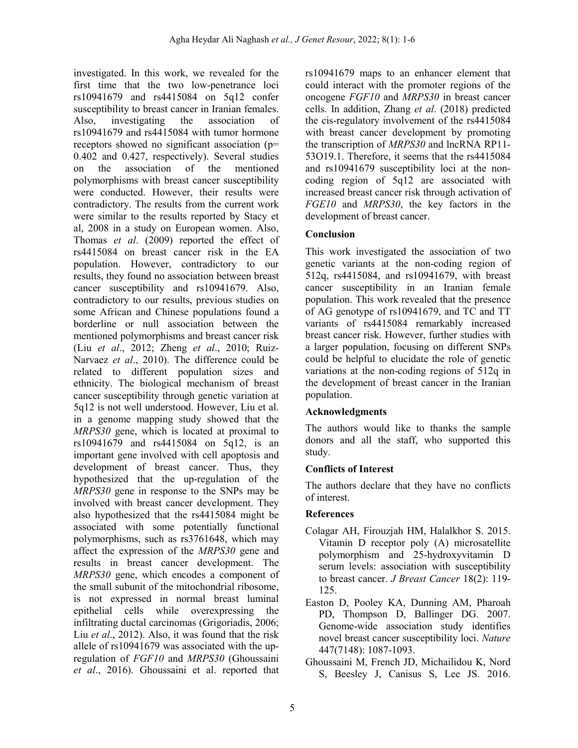investigated. In this work, we revealed for the first time that the two low-penetrance loci rs10941679 and rs4415084 on 5q12 confer susceptibility to breast cancer in Iranian females. Also, investigating the association of rs10941679 and rs4415084 with tumor hormone receptors showed no significant association (p= 0.402 and 0.427, respectively). Several studies on the association of the mentioned polymorphisms with breast cancer susceptibility were conducted. However, their results were contradictory. The results from the current work were similar to the results reported by Stacy et al, 2008 in a study on European women. Also, Thomas *et al*. (2009) reported the effect of rs4415084 on breast cancer risk in the EA population. However, contradictory to our results, they found no association between breast cancer susceptibility and rs10941679. Also, contradictory to our results, previous studies on some African and Chinese populations found a borderline or null association between the mentioned polymorphisms and breast cancer risk (Liu *et al*., 2012; Zheng *et al*., 2010; Ruiz-Narvaez *et al*., 2010). The difference could be related to different population sizes and ethnicity. The biological mechanism of breast cancer susceptibility through genetic variation at 5q12 is not well understood. However, Liu et al. in a genome mapping study showed that the *MRPS30* gene, which is located at proximal to rs10941679 and rs4415084 on 5q12, is an important gene involved with cell apoptosis and development of breast cancer. Thus, they hypothesized that the up-regulation of the *MRPS30* gene in response to the SNPs may be involved with breast cancer development. They also hypothesized that the rs4415084 might be associated with some potentially functional polymorphisms, such as rs3761648, which may affect the expression of the *MRPS30* gene and results in breast cancer development. The *MRPS30* gene, which encodes a component of the small subunit of the mitochondrial ribosome, is not expressed in normal breast luminal epithelial cells while overexpressing the infiltrating ductal carcinomas (Grigoriadis, 2006; Liu *et al*., 2012). Also, it was found that the risk allele of rs10941679 was associated with the upregulation of *FGF10* and *MRPS30* (Ghoussaini *et al*., 2016). Ghoussaini et al. reported that

rs10941679 maps to an enhancer element that could interact with the promoter regions of the oncogene *FGF10* and *MRPS30* in breast cancer cells. In addition, Zhang *et al*. (2018) predicted the cis-regulatory involvement of the rs4415084 with breast cancer development by promoting the transcription of *MRPS30* and lncRNA RP11- 53O19.1. Therefore, it seems that the rs4415084 and rs10941679 susceptibility loci at the noncoding region of 5q12 are associated with increased breast cancer risk through activation of *FGE10* and *MRPS30*, the key factors in the development of breast cancer.

## **Conclusion**

This work investigated the association of two genetic variants at the non-coding region of 512q, rs4415084, and rs10941679, with breast cancer susceptibility in an Iranian female population. This work revealed that the presence of AG genotype of rs10941679, and TC and TT variants of rs4415084 remarkably increased breast cancer risk. However, further studies with a larger population, focusing on different SNPs could be helpful to elucidate the role of genetic variations at the non-coding regions of 512q in the development of breast cancer in the Iranian population.

## **Acknowledgments**

The authors would like to thanks the sample donors and all the staff, who supported this study.

## **Conflicts of Interest**

The authors declare that they have no conflicts of interest.

## **References**

- Colagar AH, Firouzjah HM, Halalkhor S. 2015. Vitamin D receptor poly (A) microsatellite polymorphism and 25-hydroxyvitamin D serum levels: association with susceptibility to breast cancer. *J Breast Cancer* 18(2): 119- 125.
- Easton D, Pooley KA, Dunning AM, Pharoah PD, Thompson D, Ballinger DG. 2007. Genome-wide association study identifies novel breast cancer susceptibility loci. *Nature*  447(7148): 1087-1093.
- Ghoussaini M, French JD, Michailidou K, Nord S, Beesley J, Canisus S, Lee JS. 2016.